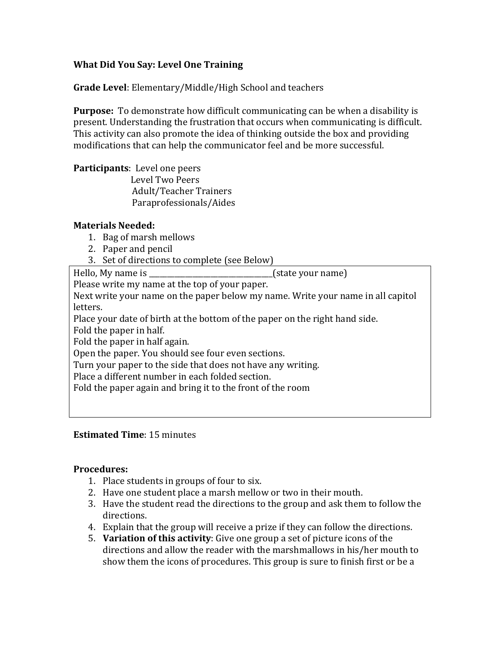# **What Did You Say: Level One Training**

**Grade Level**: Elementary/Middle/High School and teachers

**Purpose:** To demonstrate how difficult communicating can be when a disability is present. Understanding the frustration that occurs when communicating is difficult. This activity can also promote the idea of thinking outside the box and providing modifications that can help the communicator feel and be more successful.

**Participants:** Level one peers Level Two Peers Adult/Teacher Trainers Paraprofessionals/Aides

### **Materials Needed:**

- 1. Bag of marsh mellows
- 2. Paper and pencil
- 3. Set of directions to complete (see Below)

Hello, My name is \_\_\_\_\_\_\_\_\_\_\_\_\_\_\_\_\_\_\_\_\_\_\_\_\_\_\_\_\_\_\_\_\_\_(state your name)

Please write my name at the top of your paper.

Next write your name on the paper below my name. Write your name in all capitol letters. 

Place your date of birth at the bottom of the paper on the right hand side. Fold the paper in half.

Fold the paper in half again.

Open the paper. You should see four even sections.

Turn your paper to the side that does not have any writing.

Place a different number in each folded section.

Fold the paper again and bring it to the front of the room

# **Estimated Time**: 15 minutes

### **Procedures:**

- 1. Place students in groups of four to six.
- 2. Have one student place a marsh mellow or two in their mouth.
- 3. Have the student read the directions to the group and ask them to follow the directions.
- 4. Explain that the group will receive a prize if they can follow the directions.
- 5. **Variation of this activity**: Give one group a set of picture icons of the directions and allow the reader with the marshmallows in his/her mouth to show them the icons of procedures. This group is sure to finish first or be a